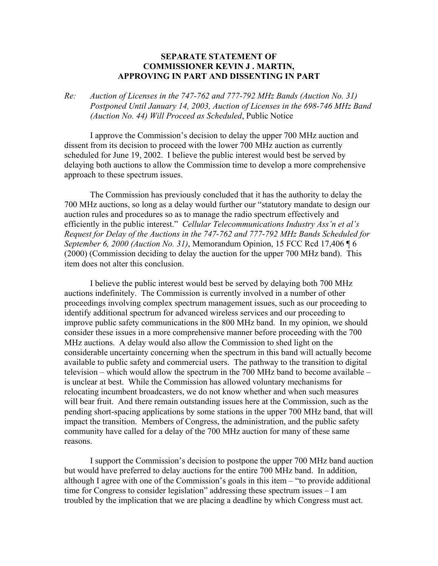## **SEPARATE STATEMENT OF COMMISSIONER KEVIN J . MARTIN, APPROVING IN PART AND DISSENTING IN PART**

*Re: Auction of Licenses in the 747-762 and 777-792 MHz Bands (Auction No. 31) Postponed Until January 14, 2003, Auction of Licenses in the 698-746 MHz Band (Auction No. 44) Will Proceed as Scheduled*, Public Notice

 I approve the Commission's decision to delay the upper 700 MHz auction and dissent from its decision to proceed with the lower 700 MHz auction as currently scheduled for June 19, 2002. I believe the public interest would best be served by delaying both auctions to allow the Commission time to develop a more comprehensive approach to these spectrum issues.

 The Commission has previously concluded that it has the authority to delay the 700 MHz auctions, so long as a delay would further our "statutory mandate to design our auction rules and procedures so as to manage the radio spectrum effectively and efficiently in the public interest." *Cellular Telecommunications Industry Ass'n et al's Request for Delay of the Auctions in the 747-762 and 777-792 MHz Bands Scheduled for September 6, 2000 (Auction No. 31)*, Memorandum Opinion, 15 FCC Rcd 17,406 ¶ 6 (2000) (Commission deciding to delay the auction for the upper 700 MHz band). This item does not alter this conclusion.

 I believe the public interest would best be served by delaying both 700 MHz auctions indefinitely. The Commission is currently involved in a number of other proceedings involving complex spectrum management issues, such as our proceeding to identify additional spectrum for advanced wireless services and our proceeding to improve public safety communications in the 800 MHz band. In my opinion, we should consider these issues in a more comprehensive manner before proceeding with the 700 MHz auctions. A delay would also allow the Commission to shed light on the considerable uncertainty concerning when the spectrum in this band will actually become available to public safety and commercial users. The pathway to the transition to digital television – which would allow the spectrum in the 700 MHz band to become available – is unclear at best. While the Commission has allowed voluntary mechanisms for relocating incumbent broadcasters, we do not know whether and when such measures will bear fruit. And there remain outstanding issues here at the Commission, such as the pending short-spacing applications by some stations in the upper 700 MHz band, that will impact the transition. Members of Congress, the administration, and the public safety community have called for a delay of the 700 MHz auction for many of these same reasons.

 I support the Commission's decision to postpone the upper 700 MHz band auction but would have preferred to delay auctions for the entire 700 MHz band. In addition, although I agree with one of the Commission's goals in this item – "to provide additional time for Congress to consider legislation" addressing these spectrum issues – I am troubled by the implication that we are placing a deadline by which Congress must act.